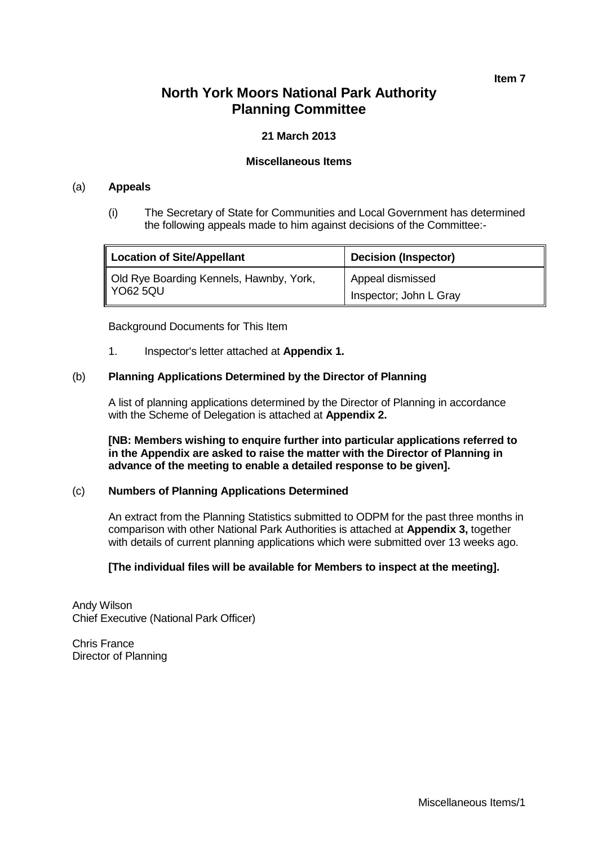**Item 7**

# **North York Moors National Park Authority Planning Committee**

#### **21 March 2013**

#### **Miscellaneous Items**

#### (a) **Appeals**

(i) The Secretary of State for Communities and Local Government has determined the following appeals made to him against decisions of the Committee:-

| Location of Site/Appellant              | <b>Decision (Inspector)</b> |
|-----------------------------------------|-----------------------------|
| Old Rye Boarding Kennels, Hawnby, York, | Appeal dismissed            |
| YO62 5QU                                | Inspector; John L Gray      |

Background Documents for This Item

1. Inspector's letter attached at **Appendix 1.**

#### (b) **Planning Applications Determined by the Director of Planning**

A list of planning applications determined by the Director of Planning in accordance with the Scheme of Delegation is attached at **Appendix 2.**

**[NB: Members wishing to enquire further into particular applications referred to in the Appendix are asked to raise the matter with the Director of Planning in advance of the meeting to enable a detailed response to be given].**

#### (c) **Numbers of Planning Applications Determined**

An extract from the Planning Statistics submitted to ODPM for the past three months in comparison with other National Park Authorities is attached at **Appendix 3,** together with details of current planning applications which were submitted over 13 weeks ago.

#### **[The individual files will be available for Members to inspect at the meeting].**

Andy Wilson Chief Executive (National Park Officer)

Chris France Director of Planning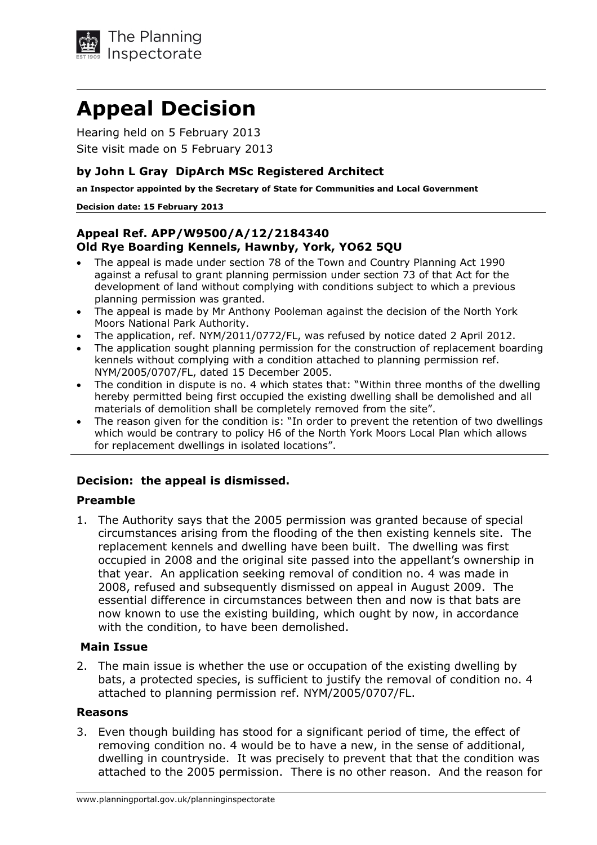

# **Appeal Decision**

Hearing held on 5 February 2013 Site visit made on 5 February 2013

### **by John L Gray DipArch MSc Registered Architect**

**an Inspector appointed by the Secretary of State for Communities and Local Government** 

#### **Decision date: 15 February 2013**

## **Appeal Ref. APP/W9500/A/12/2184340 Old Rye Boarding Kennels, Hawnby, York, YO62 5QU**

- The appeal is made under section 78 of the Town and Country Planning Act 1990 against a refusal to grant planning permission under section 73 of that Act for the development of land without complying with conditions subject to which a previous planning permission was granted.
- The appeal is made by Mr Anthony Pooleman against the decision of the North York Moors National Park Authority.
- The application, ref. NYM/2011/0772/FL, was refused by notice dated 2 April 2012.
- The application sought planning permission for the construction of replacement boarding kennels without complying with a condition attached to planning permission ref. NYM/2005/0707/FL, dated 15 December 2005.
- The condition in dispute is no. 4 which states that: "Within three months of the dwelling hereby permitted being first occupied the existing dwelling shall be demolished and all materials of demolition shall be completely removed from the site".
- The reason given for the condition is: "In order to prevent the retention of two dwellings which would be contrary to policy H6 of the North York Moors Local Plan which allows for replacement dwellings in isolated locations".

## **Decision: the appeal is dismissed.**

#### **Preamble**

1. The Authority says that the 2005 permission was granted because of special circumstances arising from the flooding of the then existing kennels site. The replacement kennels and dwelling have been built. The dwelling was first occupied in 2008 and the original site passed into the appellant's ownership in that year. An application seeking removal of condition no. 4 was made in 2008, refused and subsequently dismissed on appeal in August 2009. The essential difference in circumstances between then and now is that bats are now known to use the existing building, which ought by now, in accordance with the condition, to have been demolished.

#### **Main Issue**

2. The main issue is whether the use or occupation of the existing dwelling by bats, a protected species, is sufficient to justify the removal of condition no. 4 attached to planning permission ref. NYM/2005/0707/FL.

#### **Reasons**

3. Even though building has stood for a significant period of time, the effect of removing condition no. 4 would be to have a new, in the sense of additional, dwelling in countryside. It was precisely to prevent that that the condition was attached to the 2005 permission. There is no other reason. And the reason for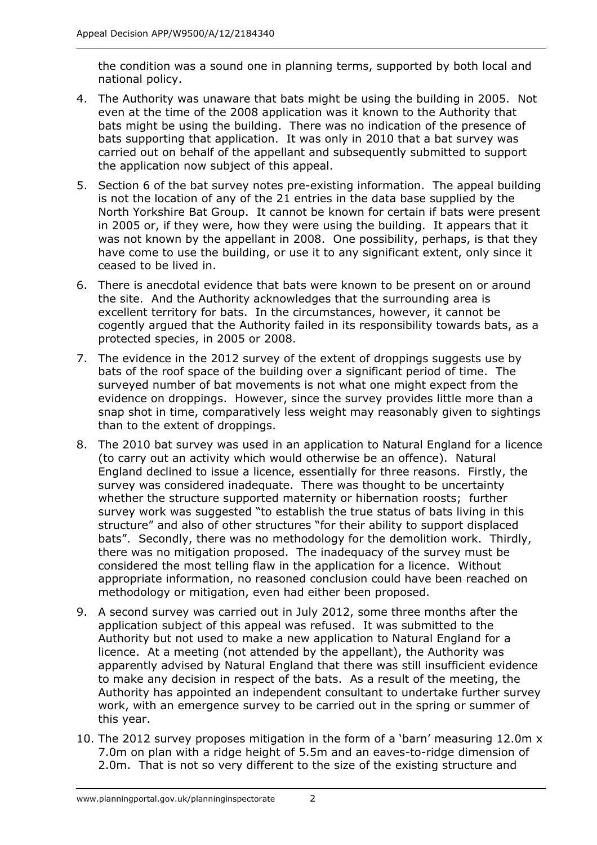the condition was a sound one in planning terms, supported by both local and national policy.

- 4. The Authority was unaware that bats might be using the building in 2005. Not even at the time of the 2008 application was it known to the Authority that bats might be using the building. There was no indication of the presence of bats supporting that application. It was only in 2010 that a bat survey was carried out on behalf of the appellant and subsequently submitted to support the application now subject of this appeal.
- 5. Section 6 of the bat survey notes pre-existing information. The appeal building is not the location of any of the 21 entries in the data base supplied by the North Yorkshire Bat Group. It cannot be known for certain if bats were present in 2005 or, if they were, how they were using the building. It appears that it was not known by the appellant in 2008. One possibility, perhaps, is that they have come to use the building, or use it to any significant extent, only since it ceased to be lived in.
- 6. There is anecdotal evidence that bats were known to be present on or around the site. And the Authority acknowledges that the surrounding area is excellent territory for bats. In the circumstances, however, it cannot be cogently argued that the Authority failed in its responsibility towards bats, as a protected species, in 2005 or 2008.
- 7. The evidence in the 2012 survey of the extent of droppings suggests use by bats of the roof space of the building over a significant period of time. The surveyed number of bat movements is not what one might expect from the evidence on droppings. However, since the survey provides little more than a snap shot in time, comparatively less weight may reasonably given to sightings than to the extent of droppings.
- 8. The 2010 bat survey was used in an application to Natural England for a licence (to carry out an activity which would otherwise be an offence). Natural England declined to issue a licence, essentially for three reasons. Firstly, the survey was considered inadequate. There was thought to be uncertainty whether the structure supported maternity or hibernation roosts; further survey work was suggested "to establish the true status of bats living in this structure" and also of other structures "for their ability to support displaced bats". Secondly, there was no methodology for the demolition work. Thirdly, there was no mitigation proposed. The inadequacy of the survey must be considered the most telling flaw in the application for a licence. Without appropriate information, no reasoned conclusion could have been reached on methodology or mitigation, even had either been proposed.
- 9. A second survey was carried out in July 2012, some three months after the application subject of this appeal was refused. It was submitted to the Authority but not used to make a new application to Natural England for a licence. At a meeting (not attended by the appellant), the Authority was apparently advised by Natural England that there was still insufficient evidence to make any decision in respect of the bats. As a result of the meeting, the Authority has appointed an independent consultant to undertake further survey work, with an emergence survey to be carried out in the spring or summer of this year.
- 10. The 2012 survey proposes mitigation in the form of a 'barn' measuring 12.0m x 7.0m on plan with a ridge height of 5.5m and an eaves-to-ridge dimension of 2.0m. That is not so very different to the size of the existing structure and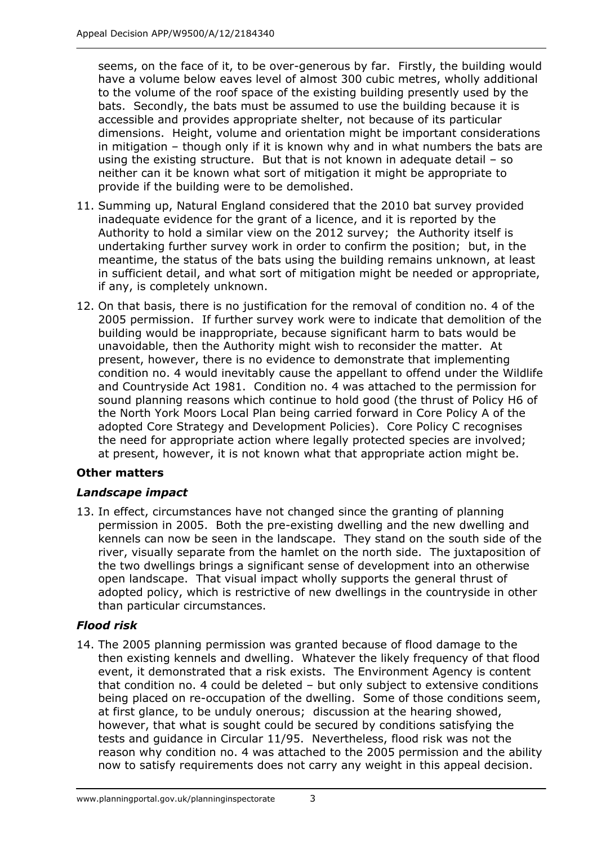seems, on the face of it, to be over-generous by far. Firstly, the building would have a volume below eaves level of almost 300 cubic metres, wholly additional to the volume of the roof space of the existing building presently used by the bats. Secondly, the bats must be assumed to use the building because it is accessible and provides appropriate shelter, not because of its particular dimensions. Height, volume and orientation might be important considerations in mitigation – though only if it is known why and in what numbers the bats are using the existing structure. But that is not known in adequate detail – so neither can it be known what sort of mitigation it might be appropriate to provide if the building were to be demolished.

- 11. Summing up, Natural England considered that the 2010 bat survey provided inadequate evidence for the grant of a licence, and it is reported by the Authority to hold a similar view on the 2012 survey; the Authority itself is undertaking further survey work in order to confirm the position; but, in the meantime, the status of the bats using the building remains unknown, at least in sufficient detail, and what sort of mitigation might be needed or appropriate, if any, is completely unknown.
- 12. On that basis, there is no justification for the removal of condition no. 4 of the 2005 permission. If further survey work were to indicate that demolition of the building would be inappropriate, because significant harm to bats would be unavoidable, then the Authority might wish to reconsider the matter. At present, however, there is no evidence to demonstrate that implementing condition no. 4 would inevitably cause the appellant to offend under the Wildlife and Countryside Act 1981. Condition no. 4 was attached to the permission for sound planning reasons which continue to hold good (the thrust of Policy H6 of the North York Moors Local Plan being carried forward in Core Policy A of the adopted Core Strategy and Development Policies). Core Policy C recognises the need for appropriate action where legally protected species are involved; at present, however, it is not known what that appropriate action might be.

# **Other matters**

# *Landscape impact*

13. In effect, circumstances have not changed since the granting of planning permission in 2005. Both the pre-existing dwelling and the new dwelling and kennels can now be seen in the landscape. They stand on the south side of the river, visually separate from the hamlet on the north side. The juxtaposition of the two dwellings brings a significant sense of development into an otherwise open landscape. That visual impact wholly supports the general thrust of adopted policy, which is restrictive of new dwellings in the countryside in other than particular circumstances.

# *Flood risk*

14. The 2005 planning permission was granted because of flood damage to the then existing kennels and dwelling. Whatever the likely frequency of that flood event, it demonstrated that a risk exists. The Environment Agency is content that condition no. 4 could be deleted – but only subject to extensive conditions being placed on re-occupation of the dwelling. Some of those conditions seem, at first glance, to be unduly onerous; discussion at the hearing showed, however, that what is sought could be secured by conditions satisfying the tests and guidance in Circular 11/95. Nevertheless, flood risk was not the reason why condition no. 4 was attached to the 2005 permission and the ability now to satisfy requirements does not carry any weight in this appeal decision.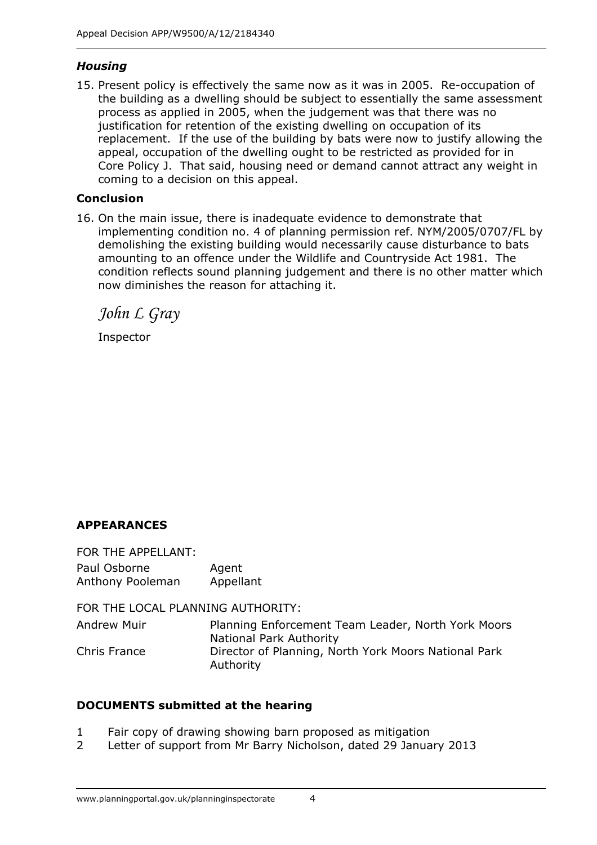# *Housing*

15. Present policy is effectively the same now as it was in 2005. Re-occupation of the building as a dwelling should be subject to essentially the same assessment process as applied in 2005, when the judgement was that there was no justification for retention of the existing dwelling on occupation of its replacement. If the use of the building by bats were now to justify allowing the appeal, occupation of the dwelling ought to be restricted as provided for in Core Policy J. That said, housing need or demand cannot attract any weight in coming to a decision on this appeal.

## **Conclusion**

16. On the main issue, there is inadequate evidence to demonstrate that implementing condition no. 4 of planning permission ref. NYM/2005/0707/FL by demolishing the existing building would necessarily cause disturbance to bats amounting to an offence under the Wildlife and Countryside Act 1981. The condition reflects sound planning judgement and there is no other matter which now diminishes the reason for attaching it.

*John L Gray* 

Inspector

# **APPEARANCES**

FOR THE APPELLANT: Paul Osborne Agent Anthony Pooleman Appellant

FOR THE LOCAL PLANNING AUTHORITY:

Andrew Muir Planning Enforcement Team Leader, North York Moors National Park Authority Chris France Director of Planning, North York Moors National Park Authority

## **DOCUMENTS submitted at the hearing**

- 1 Fair copy of drawing showing barn proposed as mitigation
- 2 Letter of support from Mr Barry Nicholson, dated 29 January 2013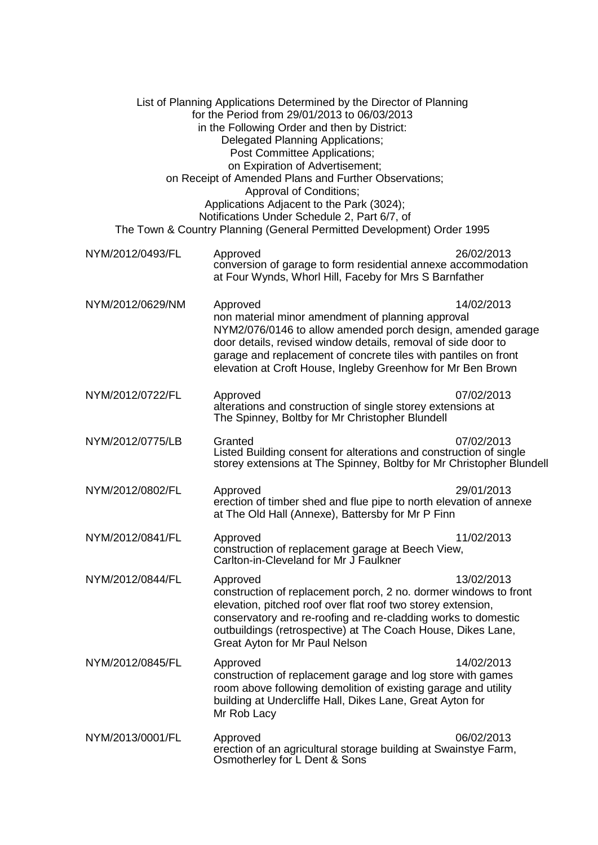| List of Planning Applications Determined by the Director of Planning<br>for the Period from 29/01/2013 to 06/03/2013<br>in the Following Order and then by District:<br>Delegated Planning Applications;<br>Post Committee Applications;<br>on Expiration of Advertisement;<br>on Receipt of Amended Plans and Further Observations;<br>Approval of Conditions;<br>Applications Adjacent to the Park (3024);<br>Notifications Under Schedule 2, Part 6/7, of<br>The Town & Country Planning (General Permitted Development) Order 1995 |                                                                                                                                                                                                                                                                                                                                 |            |
|----------------------------------------------------------------------------------------------------------------------------------------------------------------------------------------------------------------------------------------------------------------------------------------------------------------------------------------------------------------------------------------------------------------------------------------------------------------------------------------------------------------------------------------|---------------------------------------------------------------------------------------------------------------------------------------------------------------------------------------------------------------------------------------------------------------------------------------------------------------------------------|------------|
| NYM/2012/0493/FL                                                                                                                                                                                                                                                                                                                                                                                                                                                                                                                       | Approved<br>conversion of garage to form residential annexe accommodation<br>at Four Wynds, Whorl Hill, Faceby for Mrs S Barnfather                                                                                                                                                                                             | 26/02/2013 |
| NYM/2012/0629/NM                                                                                                                                                                                                                                                                                                                                                                                                                                                                                                                       | Approved<br>non material minor amendment of planning approval<br>NYM2/076/0146 to allow amended porch design, amended garage<br>door details, revised window details, removal of side door to<br>garage and replacement of concrete tiles with pantiles on front<br>elevation at Croft House, Ingleby Greenhow for Mr Ben Brown | 14/02/2013 |
| NYM/2012/0722/FL                                                                                                                                                                                                                                                                                                                                                                                                                                                                                                                       | Approved<br>alterations and construction of single storey extensions at<br>The Spinney, Boltby for Mr Christopher Blundell                                                                                                                                                                                                      | 07/02/2013 |
| NYM/2012/0775/LB                                                                                                                                                                                                                                                                                                                                                                                                                                                                                                                       | Granted<br>Listed Building consent for alterations and construction of single<br>storey extensions at The Spinney, Boltby for Mr Christopher Blundell                                                                                                                                                                           | 07/02/2013 |
| NYM/2012/0802/FL                                                                                                                                                                                                                                                                                                                                                                                                                                                                                                                       | Approved<br>erection of timber shed and flue pipe to north elevation of annexe<br>at The Old Hall (Annexe), Battersby for Mr P Finn                                                                                                                                                                                             | 29/01/2013 |
| NYM/2012/0841/FL                                                                                                                                                                                                                                                                                                                                                                                                                                                                                                                       | Approved<br>construction of replacement garage at Beech View,<br>Carlton-in-Cleveland for Mr J Faulkner                                                                                                                                                                                                                         | 11/02/2013 |
| NYM/2012/0844/FL                                                                                                                                                                                                                                                                                                                                                                                                                                                                                                                       | Approved<br>construction of replacement porch, 2 no. dormer windows to front<br>elevation, pitched roof over flat roof two storey extension,<br>conservatory and re-roofing and re-cladding works to domestic<br>outbuildings (retrospective) at The Coach House, Dikes Lane,<br>Great Ayton for Mr Paul Nelson                 | 13/02/2013 |
| NYM/2012/0845/FL                                                                                                                                                                                                                                                                                                                                                                                                                                                                                                                       | Approved<br>construction of replacement garage and log store with games<br>room above following demolition of existing garage and utility<br>building at Undercliffe Hall, Dikes Lane, Great Ayton for<br>Mr Rob Lacy                                                                                                           | 14/02/2013 |
| NYM/2013/0001/FL                                                                                                                                                                                                                                                                                                                                                                                                                                                                                                                       | Approved<br>erection of an agricultural storage building at Swainstye Farm,<br>Osmotherley for L Dent & Sons                                                                                                                                                                                                                    | 06/02/2013 |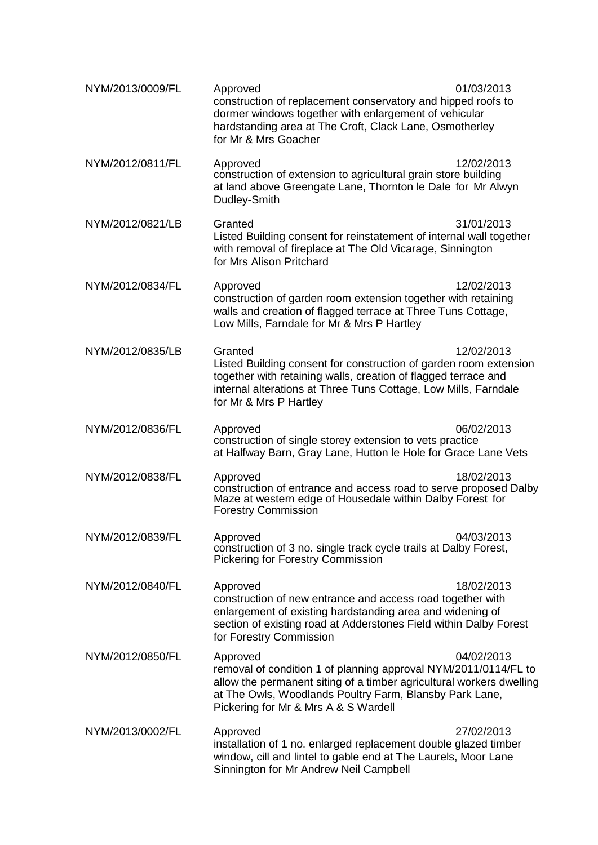| NYM/2013/0009/FL | Approved<br>construction of replacement conservatory and hipped roofs to<br>dormer windows together with enlargement of vehicular<br>hardstanding area at The Croft, Clack Lane, Osmotherley<br>for Mr & Mrs Goacher                                   | 01/03/2013 |
|------------------|--------------------------------------------------------------------------------------------------------------------------------------------------------------------------------------------------------------------------------------------------------|------------|
| NYM/2012/0811/FL | Approved<br>construction of extension to agricultural grain store building<br>at land above Greengate Lane, Thornton le Dale for Mr Alwyn<br>Dudley-Smith                                                                                              | 12/02/2013 |
| NYM/2012/0821/LB | Granted<br>Listed Building consent for reinstatement of internal wall together<br>with removal of fireplace at The Old Vicarage, Sinnington<br>for Mrs Alison Pritchard                                                                                | 31/01/2013 |
| NYM/2012/0834/FL | Approved<br>construction of garden room extension together with retaining<br>walls and creation of flagged terrace at Three Tuns Cottage,<br>Low Mills, Farndale for Mr & Mrs P Hartley                                                                | 12/02/2013 |
| NYM/2012/0835/LB | Granted<br>Listed Building consent for construction of garden room extension<br>together with retaining walls, creation of flagged terrace and<br>internal alterations at Three Tuns Cottage, Low Mills, Farndale<br>for Mr & Mrs P Hartley            | 12/02/2013 |
| NYM/2012/0836/FL | Approved<br>construction of single storey extension to vets practice<br>at Halfway Barn, Gray Lane, Hutton le Hole for Grace Lane Vets                                                                                                                 | 06/02/2013 |
| NYM/2012/0838/FL | Approved<br>construction of entrance and access road to serve proposed Dalby<br>Maze at western edge of Housedale within Dalby Forest for<br><b>Forestry Commission</b>                                                                                | 18/02/2013 |
| NYM/2012/0839/FL | Approved<br>construction of 3 no. single track cycle trails at Dalby Forest,<br><b>Pickering for Forestry Commission</b>                                                                                                                               | 04/03/2013 |
| NYM/2012/0840/FL | Approved<br>construction of new entrance and access road together with<br>enlargement of existing hardstanding area and widening of<br>section of existing road at Adderstones Field within Dalby Forest<br>for Forestry Commission                    | 18/02/2013 |
| NYM/2012/0850/FL | Approved<br>removal of condition 1 of planning approval NYM/2011/0114/FL to<br>allow the permanent siting of a timber agricultural workers dwelling<br>at The Owls, Woodlands Poultry Farm, Blansby Park Lane,<br>Pickering for Mr & Mrs A & S Wardell | 04/02/2013 |
| NYM/2013/0002/FL | Approved<br>installation of 1 no. enlarged replacement double glazed timber<br>window, cill and lintel to gable end at The Laurels, Moor Lane<br>Sinnington for Mr Andrew Neil Campbell                                                                | 27/02/2013 |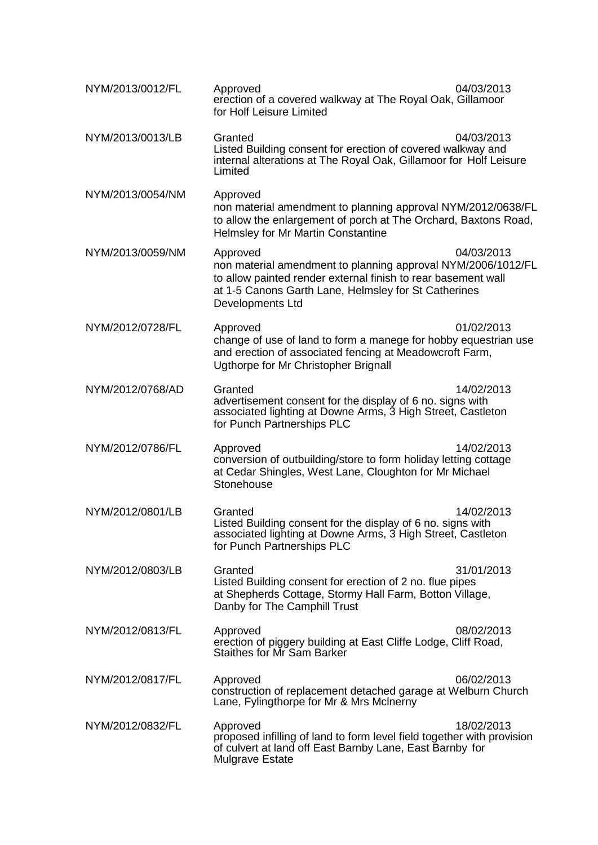| NYM/2013/0012/FL | Approved<br>erection of a covered walkway at The Royal Oak, Gillamoor<br>for Holf Leisure Limited                                                                                                                     | 04/03/2013 |
|------------------|-----------------------------------------------------------------------------------------------------------------------------------------------------------------------------------------------------------------------|------------|
| NYM/2013/0013/LB | Granted<br>Listed Building consent for erection of covered walkway and<br>internal alterations at The Royal Oak, Gillamoor for Holf Leisure<br>Limited                                                                | 04/03/2013 |
| NYM/2013/0054/NM | Approved<br>non material amendment to planning approval NYM/2012/0638/FL<br>to allow the enlargement of porch at The Orchard, Baxtons Road,<br>Helmsley for Mr Martin Constantine                                     |            |
| NYM/2013/0059/NM | Approved<br>non material amendment to planning approval NYM/2006/1012/FL<br>to allow painted render external finish to rear basement wall<br>at 1-5 Canons Garth Lane, Helmsley for St Catherines<br>Developments Ltd | 04/03/2013 |
| NYM/2012/0728/FL | Approved<br>change of use of land to form a manege for hobby equestrian use<br>and erection of associated fencing at Meadowcroft Farm,<br>Ugthorpe for Mr Christopher Brignall                                        | 01/02/2013 |
| NYM/2012/0768/AD | Granted<br>advertisement consent for the display of 6 no. signs with<br>associated lighting at Downe Arms, 3 High Street, Castleton<br>for Punch Partnerships PLC                                                     | 14/02/2013 |
| NYM/2012/0786/FL | Approved<br>conversion of outbuilding/store to form holiday letting cottage<br>at Cedar Shingles, West Lane, Cloughton for Mr Michael<br>Stonehouse                                                                   | 14/02/2013 |
| NYM/2012/0801/LB | Granted<br>Listed Building consent for the display of 6 no. signs with<br>associated lighting at Downe Arms, 3 High Street, Castleton<br>for Punch Partnerships PLC                                                   | 14/02/2013 |
| NYM/2012/0803/LB | Granted<br>Listed Building consent for erection of 2 no. flue pipes<br>at Shepherds Cottage, Stormy Hall Farm, Botton Village,<br>Danby for The Camphill Trust                                                        | 31/01/2013 |
| NYM/2012/0813/FL | Approved<br>erection of piggery building at East Cliffe Lodge, Cliff Road,<br><b>Staithes for Mr Sam Barker</b>                                                                                                       | 08/02/2013 |
| NYM/2012/0817/FL | Approved<br>construction of replacement detached garage at Welburn Church<br>Lane, Fylingthorpe for Mr & Mrs McInerny                                                                                                 | 06/02/2013 |
| NYM/2012/0832/FL | Approved<br>proposed infilling of land to form level field together with provision<br>of culvert at land off East Barnby Lane, East Barnby for<br>Mulgrave Estate                                                     | 18/02/2013 |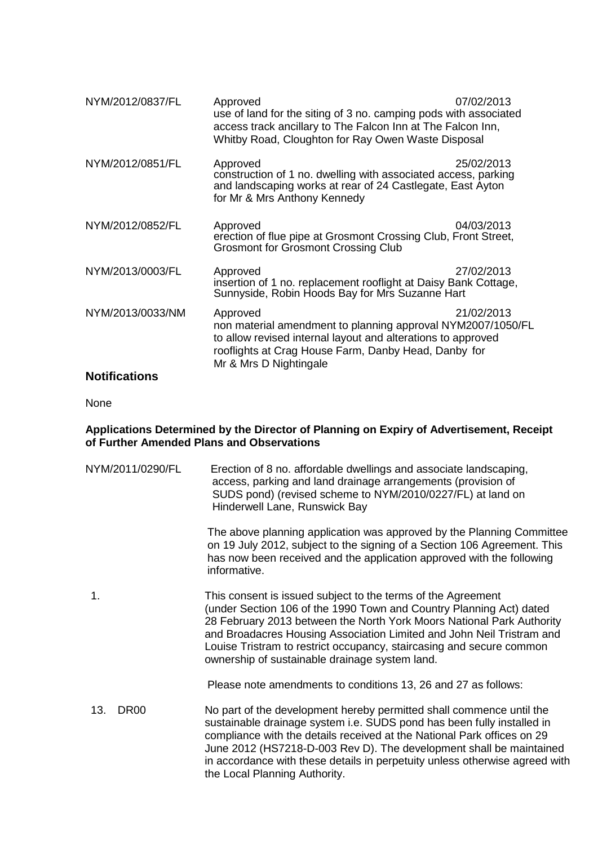| NYM/2012/0837/FL | Approved<br>use of land for the siting of 3 no. camping pods with associated<br>access track ancillary to The Falcon Inn at The Falcon Inn,<br>Whitby Road, Cloughton for Ray Owen Waste Disposal                         | 07/02/2013 |
|------------------|---------------------------------------------------------------------------------------------------------------------------------------------------------------------------------------------------------------------------|------------|
| NYM/2012/0851/FL | Approved<br>construction of 1 no. dwelling with associated access, parking<br>and landscaping works at rear of 24 Castlegate, East Ayton<br>for Mr & Mrs Anthony Kennedy                                                  | 25/02/2013 |
| NYM/2012/0852/FL | Approved<br>erection of flue pipe at Grosmont Crossing Club, Front Street,<br><b>Grosmont for Grosmont Crossing Club</b>                                                                                                  | 04/03/2013 |
| NYM/2013/0003/FL | Approved<br>insertion of 1 no. replacement rooflight at Daisy Bank Cottage,<br>Sunnyside, Robin Hoods Bay for Mrs Suzanne Hart                                                                                            | 27/02/2013 |
| NYM/2013/0033/NM | Approved<br>non material amendment to planning approval NYM2007/1050/FL<br>to allow revised internal layout and alterations to approved<br>rooflights at Crag House Farm, Danby Head, Danby for<br>Mr & Mrs D Nightingale | 21/02/2013 |

## **Notifications**

None

#### **Applications Determined by the Director of Planning on Expiry of Advertisement, Receipt of Further Amended Plans and Observations**

| NYM/2011/0290/FL   | Erection of 8 no. affordable dwellings and associate landscaping,<br>access, parking and land drainage arrangements (provision of<br>SUDS pond) (revised scheme to NYM/2010/0227/FL) at land on<br>Hinderwell Lane, Runswick Bay                                                                                                                                                                                 |
|--------------------|------------------------------------------------------------------------------------------------------------------------------------------------------------------------------------------------------------------------------------------------------------------------------------------------------------------------------------------------------------------------------------------------------------------|
|                    | The above planning application was approved by the Planning Committee<br>on 19 July 2012, subject to the signing of a Section 106 Agreement. This<br>has now been received and the application approved with the following<br>informative.                                                                                                                                                                       |
| 1.                 | This consent is issued subject to the terms of the Agreement<br>(under Section 106 of the 1990 Town and Country Planning Act) dated<br>28 February 2013 between the North York Moors National Park Authority<br>and Broadacres Housing Association Limited and John Neil Tristram and<br>Louise Tristram to restrict occupancy, staircasing and secure common<br>ownership of sustainable drainage system land.  |
|                    | Please note amendments to conditions 13, 26 and 27 as follows:                                                                                                                                                                                                                                                                                                                                                   |
| 13.<br><b>DR00</b> | No part of the development hereby permitted shall commence until the<br>sustainable drainage system i.e. SUDS pond has been fully installed in<br>compliance with the details received at the National Park offices on 29<br>June 2012 (HS7218-D-003 Rev D). The development shall be maintained<br>in accordance with these details in perpetuity unless otherwise agreed with<br>the Local Planning Authority. |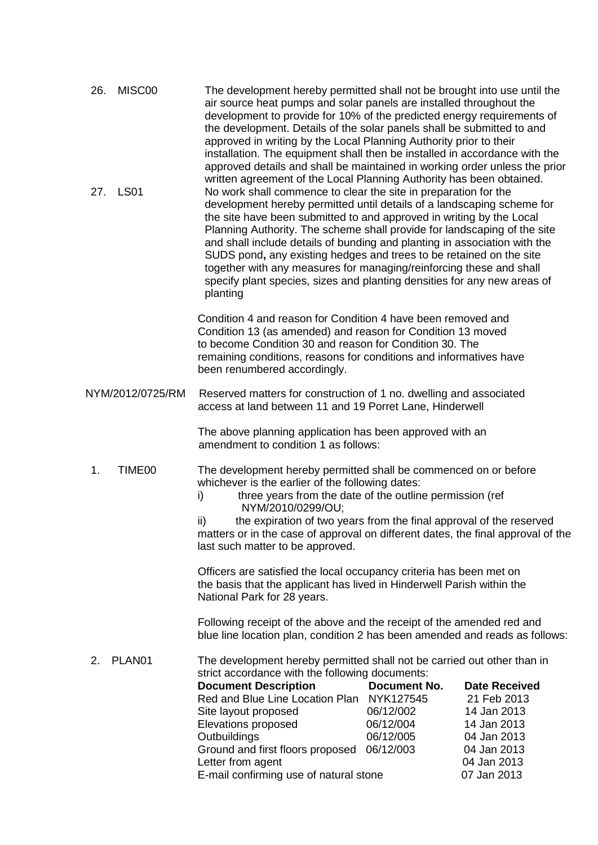| 26.<br>MISC00<br><b>LS01</b><br>27. | The development hereby permitted shall not be brought into use until the<br>air source heat pumps and solar panels are installed throughout the<br>development to provide for 10% of the predicted energy requirements of<br>the development. Details of the solar panels shall be submitted to and<br>approved in writing by the Local Planning Authority prior to their<br>installation. The equipment shall then be installed in accordance with the<br>approved details and shall be maintained in working order unless the prior<br>written agreement of the Local Planning Authority has been obtained.<br>No work shall commence to clear the site in preparation for the<br>development hereby permitted until details of a landscaping scheme for<br>the site have been submitted to and approved in writing by the Local<br>Planning Authority. The scheme shall provide for landscaping of the site<br>and shall include details of bunding and planting in association with the<br>SUDS pond, any existing hedges and trees to be retained on the site<br>together with any measures for managing/reinforcing these and shall<br>specify plant species, sizes and planting densities for any new areas of |                                                                                                                               |
|-------------------------------------|-----------------------------------------------------------------------------------------------------------------------------------------------------------------------------------------------------------------------------------------------------------------------------------------------------------------------------------------------------------------------------------------------------------------------------------------------------------------------------------------------------------------------------------------------------------------------------------------------------------------------------------------------------------------------------------------------------------------------------------------------------------------------------------------------------------------------------------------------------------------------------------------------------------------------------------------------------------------------------------------------------------------------------------------------------------------------------------------------------------------------------------------------------------------------------------------------------------------------|-------------------------------------------------------------------------------------------------------------------------------|
|                                     | planting                                                                                                                                                                                                                                                                                                                                                                                                                                                                                                                                                                                                                                                                                                                                                                                                                                                                                                                                                                                                                                                                                                                                                                                                              |                                                                                                                               |
|                                     | Condition 4 and reason for Condition 4 have been removed and<br>Condition 13 (as amended) and reason for Condition 13 moved<br>to become Condition 30 and reason for Condition 30. The<br>remaining conditions, reasons for conditions and informatives have<br>been renumbered accordingly.                                                                                                                                                                                                                                                                                                                                                                                                                                                                                                                                                                                                                                                                                                                                                                                                                                                                                                                          |                                                                                                                               |
| NYM/2012/0725/RM                    | Reserved matters for construction of 1 no. dwelling and associated<br>access at land between 11 and 19 Porret Lane, Hinderwell                                                                                                                                                                                                                                                                                                                                                                                                                                                                                                                                                                                                                                                                                                                                                                                                                                                                                                                                                                                                                                                                                        |                                                                                                                               |
|                                     | The above planning application has been approved with an<br>amendment to condition 1 as follows:                                                                                                                                                                                                                                                                                                                                                                                                                                                                                                                                                                                                                                                                                                                                                                                                                                                                                                                                                                                                                                                                                                                      |                                                                                                                               |
| TIME <sub>00</sub><br>1.            | The development hereby permitted shall be commenced on or before<br>whichever is the earlier of the following dates:<br>three years from the date of the outline permission (ref<br>i)<br>NYM/2010/0299/OU;<br>the expiration of two years from the final approval of the reserved<br>ii)<br>matters or in the case of approval on different dates, the final approval of the<br>last such matter to be approved.                                                                                                                                                                                                                                                                                                                                                                                                                                                                                                                                                                                                                                                                                                                                                                                                     |                                                                                                                               |
|                                     | Officers are satisfied the local occupancy criteria has been met on<br>the basis that the applicant has lived in Hinderwell Parish within the<br>National Park for 28 years.                                                                                                                                                                                                                                                                                                                                                                                                                                                                                                                                                                                                                                                                                                                                                                                                                                                                                                                                                                                                                                          |                                                                                                                               |
|                                     | Following receipt of the above and the receipt of the amended red and<br>blue line location plan, condition 2 has been amended and reads as follows:                                                                                                                                                                                                                                                                                                                                                                                                                                                                                                                                                                                                                                                                                                                                                                                                                                                                                                                                                                                                                                                                  |                                                                                                                               |
| PLAN01<br>2.                        | The development hereby permitted shall not be carried out other than in<br>strict accordance with the following documents:<br><b>Document No.</b><br><b>Document Description</b><br>Red and Blue Line Location Plan NYK127545<br>06/12/002<br>Site layout proposed<br>06/12/004<br>Elevations proposed<br>06/12/005<br>Outbuildings<br>Ground and first floors proposed<br>06/12/003<br>Letter from agent<br>E-mail confirming use of natural stone                                                                                                                                                                                                                                                                                                                                                                                                                                                                                                                                                                                                                                                                                                                                                                   | <b>Date Received</b><br>21 Feb 2013<br>14 Jan 2013<br>14 Jan 2013<br>04 Jan 2013<br>04 Jan 2013<br>04 Jan 2013<br>07 Jan 2013 |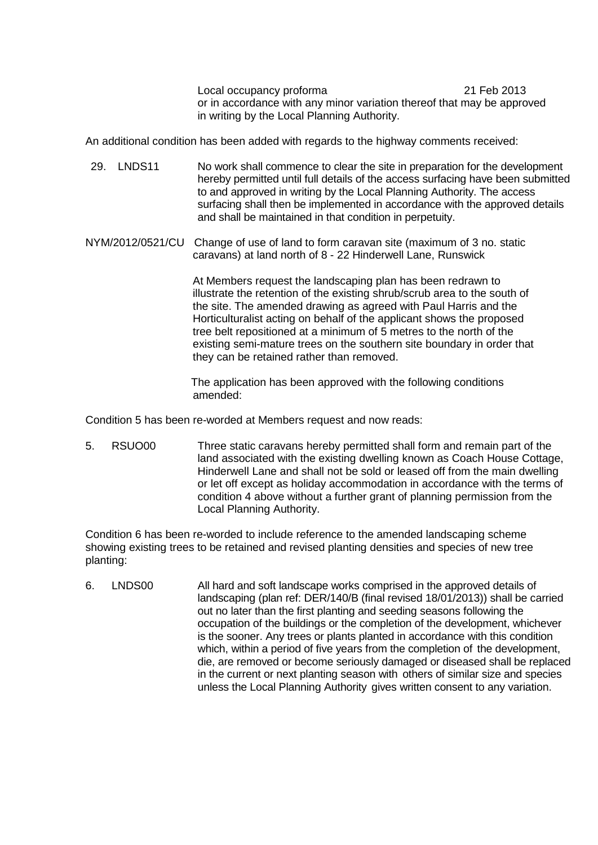Local occupancy proforma 21 Feb 2013 or in accordance with any minor variation thereof that may be approved in writing by the Local Planning Authority.

An additional condition has been added with regards to the highway comments received:

- 29. LNDS11 No work shall commence to clear the site in preparation for the development hereby permitted until full details of the access surfacing have been submitted to and approved in writing by the Local Planning Authority. The access surfacing shall then be implemented in accordance with the approved details and shall be maintained in that condition in perpetuity.
- NYM/2012/0521/CU Change of use of land to form caravan site (maximum of 3 no. static caravans) at land north of 8 - 22 Hinderwell Lane, Runswick

 At Members request the landscaping plan has been redrawn to illustrate the retention of the existing shrub/scrub area to the south of the site. The amended drawing as agreed with Paul Harris and the Horticulturalist acting on behalf of the applicant shows the proposed tree belt repositioned at a minimum of 5 metres to the north of the existing semi-mature trees on the southern site boundary in order that they can be retained rather than removed.

The application has been approved with the following conditions amended:

Condition 5 has been re-worded at Members request and now reads:

5. RSUO00 Three static caravans hereby permitted shall form and remain part of the land associated with the existing dwelling known as Coach House Cottage, Hinderwell Lane and shall not be sold or leased off from the main dwelling or let off except as holiday accommodation in accordance with the terms of condition 4 above without a further grant of planning permission from the Local Planning Authority.

Condition 6 has been re-worded to include reference to the amended landscaping scheme showing existing trees to be retained and revised planting densities and species of new tree planting:

6. LNDS00 All hard and soft landscape works comprised in the approved details of landscaping (plan ref: DER/140/B (final revised 18/01/2013)) shall be carried out no later than the first planting and seeding seasons following the occupation of the buildings or the completion of the development, whichever is the sooner. Any trees or plants planted in accordance with this condition which, within a period of five years from the completion of the development, die, are removed or become seriously damaged or diseased shall be replaced in the current or next planting season with others of similar size and species unless the Local Planning Authority gives written consent to any variation.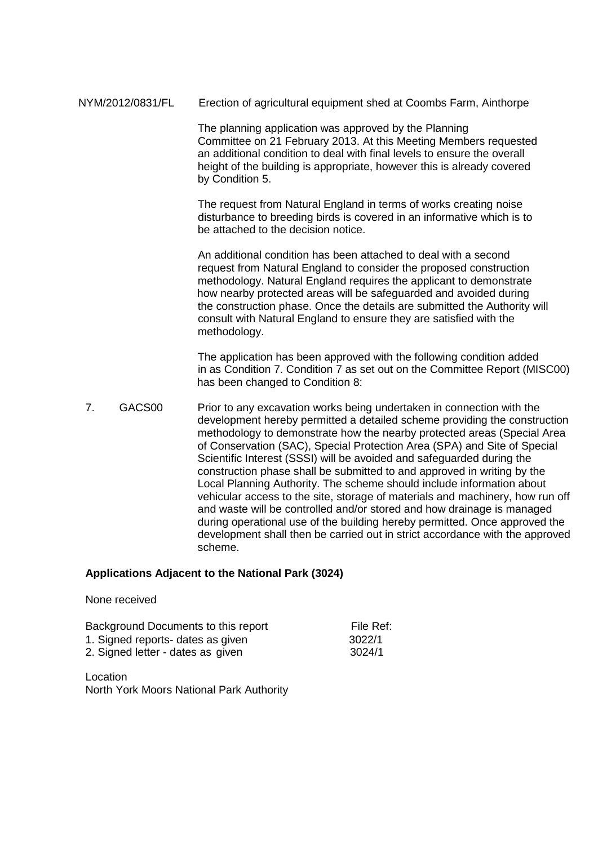NYM/2012/0831/FL Erection of agricultural equipment shed at Coombs Farm, Ainthorpe

 The planning application was approved by the Planning Committee on 21 February 2013. At this Meeting Members requested an additional condition to deal with final levels to ensure the overall height of the building is appropriate, however this is already covered by Condition 5.

 The request from Natural England in terms of works creating noise disturbance to breeding birds is covered in an informative which is to be attached to the decision notice.

 An additional condition has been attached to deal with a second request from Natural England to consider the proposed construction methodology. Natural England requires the applicant to demonstrate how nearby protected areas will be safeguarded and avoided during the construction phase. Once the details are submitted the Authority will consult with Natural England to ensure they are satisfied with the methodology.

 The application has been approved with the following condition added in as Condition 7. Condition 7 as set out on the Committee Report (MISC00) has been changed to Condition 8:

7. GACS00 Prior to any excavation works being undertaken in connection with the development hereby permitted a detailed scheme providing the construction methodology to demonstrate how the nearby protected areas (Special Area of Conservation (SAC), Special Protection Area (SPA) and Site of Special Scientific Interest (SSSI) will be avoided and safeguarded during the construction phase shall be submitted to and approved in writing by the Local Planning Authority. The scheme should include information about vehicular access to the site, storage of materials and machinery, how run off and waste will be controlled and/or stored and how drainage is managed during operational use of the building hereby permitted. Once approved the development shall then be carried out in strict accordance with the approved scheme.

#### **Applications Adjacent to the National Park (3024)**

| Background Documents to this report | File Ref: |
|-------------------------------------|-----------|
| 1. Signed reports- dates as given   | 3022/1    |
| 2. Signed letter - dates as given   | 3024/1    |

Location North York Moors National Park Authority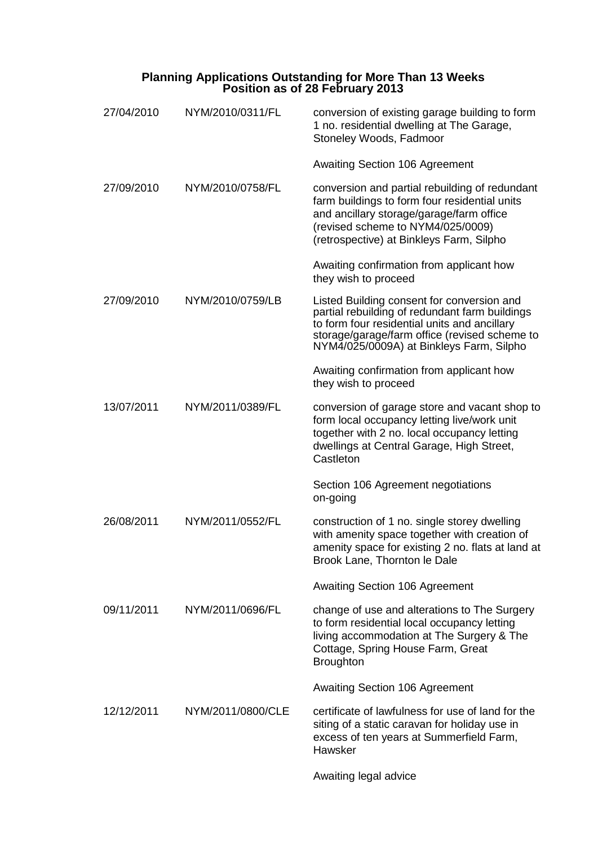#### **Planning Applications Outstanding for More Than 13 Weeks Position as of 28 February 2013**

| 27/04/2010 | NYM/2010/0311/FL  | conversion of existing garage building to form<br>1 no. residential dwelling at The Garage,<br>Stoneley Woods, Fadmoor                                                                                                                    |
|------------|-------------------|-------------------------------------------------------------------------------------------------------------------------------------------------------------------------------------------------------------------------------------------|
|            |                   | <b>Awaiting Section 106 Agreement</b>                                                                                                                                                                                                     |
| 27/09/2010 | NYM/2010/0758/FL  | conversion and partial rebuilding of redundant<br>farm buildings to form four residential units<br>and ancillary storage/garage/farm office<br>(revised scheme to NYM4/025/0009)<br>(retrospective) at Binkleys Farm, Silpho              |
|            |                   | Awaiting confirmation from applicant how<br>they wish to proceed                                                                                                                                                                          |
| 27/09/2010 | NYM/2010/0759/LB  | Listed Building consent for conversion and<br>partial rebuilding of redundant farm buildings<br>to form four residential units and ancillary<br>storage/garage/farm office (revised scheme to<br>NYM4/025/0009A) at Binkleys Farm, Silpho |
|            |                   | Awaiting confirmation from applicant how<br>they wish to proceed                                                                                                                                                                          |
| 13/07/2011 | NYM/2011/0389/FL  | conversion of garage store and vacant shop to<br>form local occupancy letting live/work unit<br>together with 2 no. local occupancy letting<br>dwellings at Central Garage, High Street,<br>Castleton                                     |
|            |                   | Section 106 Agreement negotiations<br>on-going                                                                                                                                                                                            |
| 26/08/2011 | NYM/2011/0552/FL  | construction of 1 no. single storey dwelling<br>with amenity space together with creation of<br>amenity space for existing 2 no. flats at land at<br>Brook Lane, Thornton le Dale                                                         |
|            |                   | Awaiting Section 106 Agreement                                                                                                                                                                                                            |
| 09/11/2011 | NYM/2011/0696/FL  | change of use and alterations to The Surgery<br>to form residential local occupancy letting<br>living accommodation at The Surgery & The<br>Cottage, Spring House Farm, Great<br><b>Broughton</b>                                         |
|            |                   | <b>Awaiting Section 106 Agreement</b>                                                                                                                                                                                                     |
| 12/12/2011 | NYM/2011/0800/CLE | certificate of lawfulness for use of land for the<br>siting of a static caravan for holiday use in<br>excess of ten years at Summerfield Farm,<br>Hawsker                                                                                 |
|            |                   | Awaiting legal advice                                                                                                                                                                                                                     |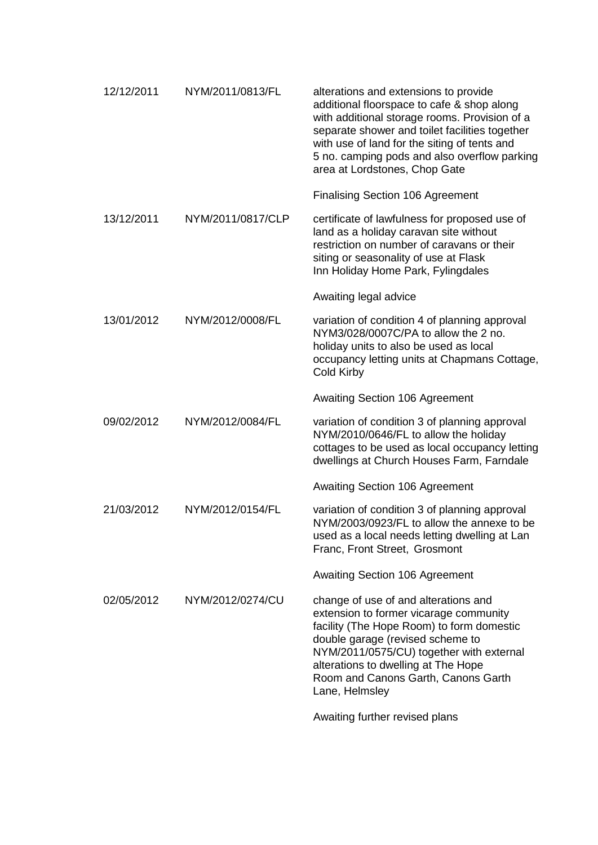| 12/12/2011 | NYM/2011/0813/FL  | alterations and extensions to provide<br>additional floorspace to cafe & shop along<br>with additional storage rooms. Provision of a<br>separate shower and toilet facilities together<br>with use of land for the siting of tents and<br>5 no. camping pods and also overflow parking<br>area at Lordstones, Chop Gate |
|------------|-------------------|-------------------------------------------------------------------------------------------------------------------------------------------------------------------------------------------------------------------------------------------------------------------------------------------------------------------------|
|            |                   | <b>Finalising Section 106 Agreement</b>                                                                                                                                                                                                                                                                                 |
| 13/12/2011 | NYM/2011/0817/CLP | certificate of lawfulness for proposed use of<br>land as a holiday caravan site without<br>restriction on number of caravans or their<br>siting or seasonality of use at Flask<br>Inn Holiday Home Park, Fylingdales                                                                                                    |
|            |                   | Awaiting legal advice                                                                                                                                                                                                                                                                                                   |
| 13/01/2012 | NYM/2012/0008/FL  | variation of condition 4 of planning approval<br>NYM3/028/0007C/PA to allow the 2 no.<br>holiday units to also be used as local<br>occupancy letting units at Chapmans Cottage,<br><b>Cold Kirby</b>                                                                                                                    |
|            |                   | <b>Awaiting Section 106 Agreement</b>                                                                                                                                                                                                                                                                                   |
| 09/02/2012 | NYM/2012/0084/FL  | variation of condition 3 of planning approval<br>NYM/2010/0646/FL to allow the holiday<br>cottages to be used as local occupancy letting<br>dwellings at Church Houses Farm, Farndale                                                                                                                                   |
|            |                   | <b>Awaiting Section 106 Agreement</b>                                                                                                                                                                                                                                                                                   |
| 21/03/2012 | NYM/2012/0154/FL  | variation of condition 3 of planning approval<br>NYM/2003/0923/FL to allow the annexe to be<br>used as a local needs letting dwelling at Lan<br>Franc, Front Street, Grosmont                                                                                                                                           |
|            |                   | <b>Awaiting Section 106 Agreement</b>                                                                                                                                                                                                                                                                                   |
| 02/05/2012 | NYM/2012/0274/CU  | change of use of and alterations and<br>extension to former vicarage community<br>facility (The Hope Room) to form domestic<br>double garage (revised scheme to<br>NYM/2011/0575/CU) together with external<br>alterations to dwelling at The Hope<br>Room and Canons Garth, Canons Garth<br>Lane, Helmsley             |
|            |                   |                                                                                                                                                                                                                                                                                                                         |

Awaiting further revised plans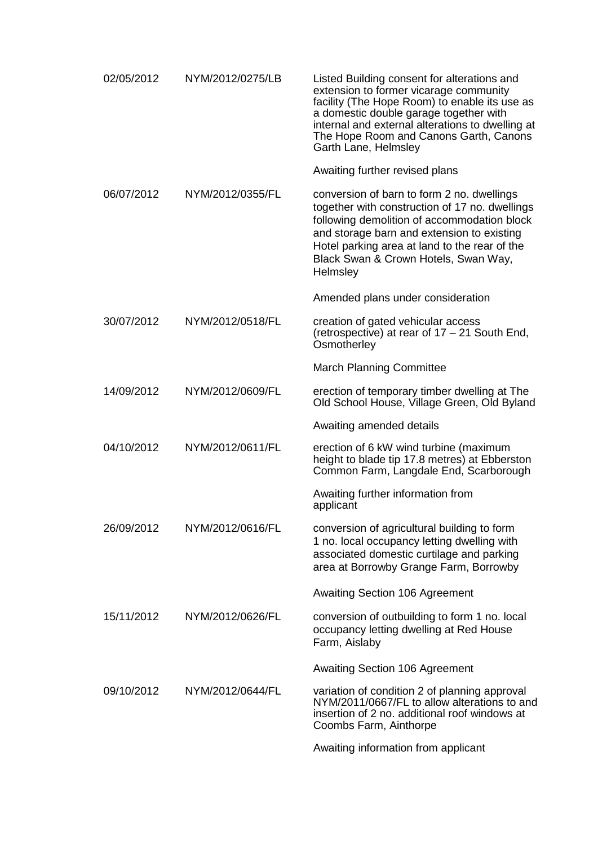| 02/05/2012 | NYM/2012/0275/LB | Listed Building consent for alterations and<br>extension to former vicarage community<br>facility (The Hope Room) to enable its use as<br>a domestic double garage together with<br>internal and external alterations to dwelling at<br>The Hope Room and Canons Garth, Canons<br>Garth Lane, Helmsley |
|------------|------------------|--------------------------------------------------------------------------------------------------------------------------------------------------------------------------------------------------------------------------------------------------------------------------------------------------------|
|            |                  | Awaiting further revised plans                                                                                                                                                                                                                                                                         |
| 06/07/2012 | NYM/2012/0355/FL | conversion of barn to form 2 no. dwellings<br>together with construction of 17 no. dwellings<br>following demolition of accommodation block<br>and storage barn and extension to existing<br>Hotel parking area at land to the rear of the<br>Black Swan & Crown Hotels, Swan Way,<br>Helmsley         |
|            |                  | Amended plans under consideration                                                                                                                                                                                                                                                                      |
| 30/07/2012 | NYM/2012/0518/FL | creation of gated vehicular access<br>(retrospective) at rear of 17 – 21 South End,<br>Osmotherley                                                                                                                                                                                                     |
|            |                  | <b>March Planning Committee</b>                                                                                                                                                                                                                                                                        |
| 14/09/2012 | NYM/2012/0609/FL | erection of temporary timber dwelling at The<br>Old School House, Village Green, Old Byland                                                                                                                                                                                                            |
|            |                  | Awaiting amended details                                                                                                                                                                                                                                                                               |
| 04/10/2012 | NYM/2012/0611/FL | erection of 6 kW wind turbine (maximum<br>height to blade tip 17.8 metres) at Ebberston<br>Common Farm, Langdale End, Scarborough                                                                                                                                                                      |
|            |                  | Awaiting further information from<br>applicant                                                                                                                                                                                                                                                         |
| 26/09/2012 | NYM/2012/0616/FL | conversion of agricultural building to form<br>1 no. local occupancy letting dwelling with<br>associated domestic curtilage and parking<br>area at Borrowby Grange Farm, Borrowby                                                                                                                      |
|            |                  | <b>Awaiting Section 106 Agreement</b>                                                                                                                                                                                                                                                                  |
| 15/11/2012 | NYM/2012/0626/FL | conversion of outbuilding to form 1 no. local<br>occupancy letting dwelling at Red House<br>Farm, Aislaby                                                                                                                                                                                              |
|            |                  | <b>Awaiting Section 106 Agreement</b>                                                                                                                                                                                                                                                                  |
| 09/10/2012 | NYM/2012/0644/FL | variation of condition 2 of planning approval<br>NYM/2011/0667/FL to allow alterations to and<br>insertion of 2 no. additional roof windows at<br>Coombs Farm, Ainthorpe                                                                                                                               |
|            |                  | Awaiting information from applicant                                                                                                                                                                                                                                                                    |